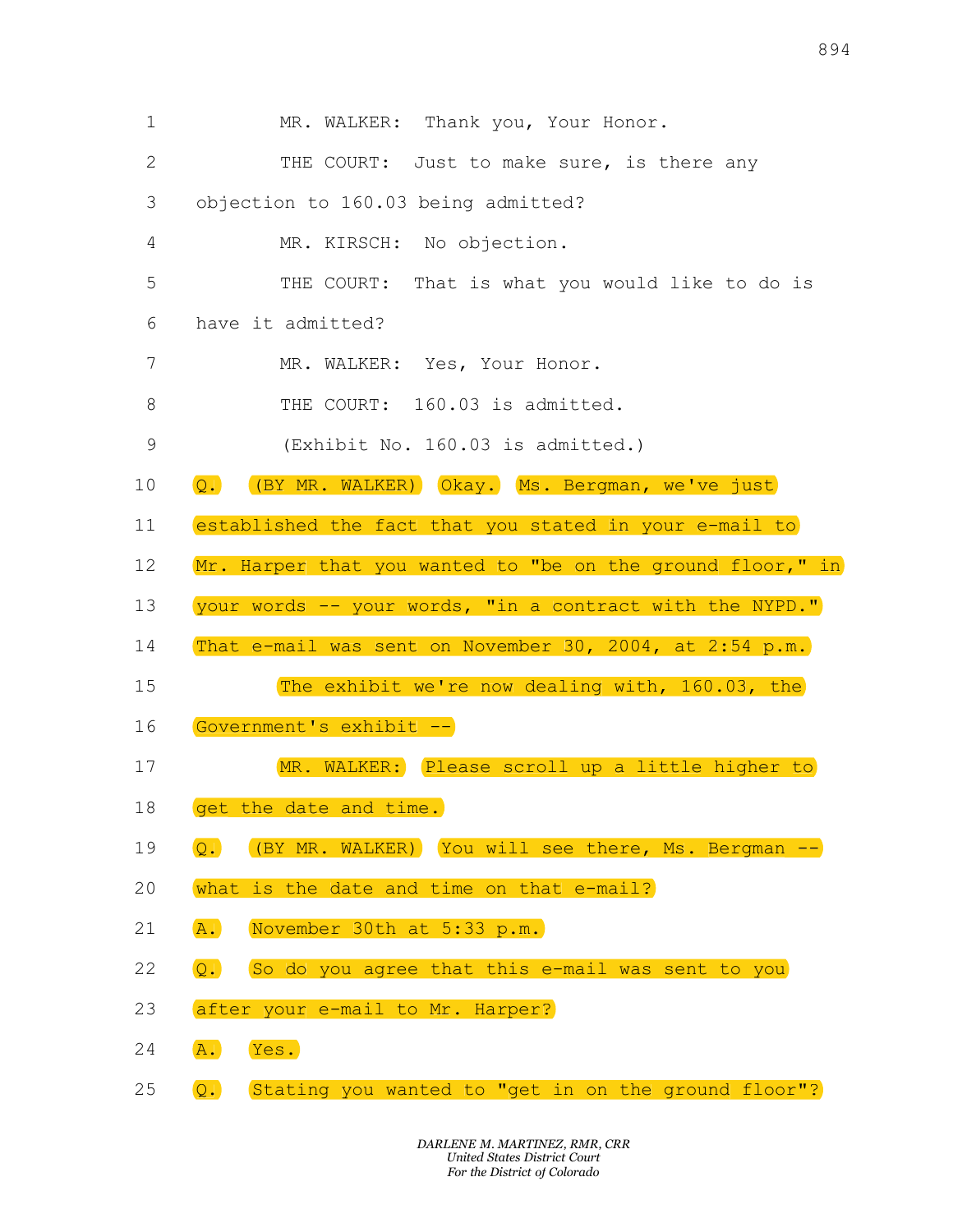|             |                                                                        | 894 |
|-------------|------------------------------------------------------------------------|-----|
| $\mathbf 1$ | MR. WALKER: Thank you, Your Honor.                                     |     |
| 2           | THE COURT:<br>Just to make sure, is there any                          |     |
| 3           | objection to 160.03 being admitted?                                    |     |
| 4           | MR. KIRSCH: No objection.                                              |     |
| 5           | That is what you would like to do is<br>THE COURT:                     |     |
| 6           | have it admitted?                                                      |     |
| 7           | MR. WALKER: Yes, Your Honor.                                           |     |
| 8           | THE COURT:<br>160.03 is admitted.                                      |     |
| 9           | (Exhibit No. 160.03 is admitted.)                                      |     |
| 10          | (BY MR. WALKER) Okay. Ms. Bergman, we've just<br>$\overline{Q}$ .      |     |
| 11          | established the fact that you stated in your e-mail to                 |     |
| 12          | Mr. Harper that you wanted to "be on the ground floor," in             |     |
| 13          | your words -- your words, "in a contract with the NYPD."               |     |
| 14          | That e-mail was sent on November 30, 2004, at 2:54 p.m.                |     |
| 15          | The exhibit we're now dealing with, 160.03, the                        |     |
| 16          | Government's exhibit --                                                |     |
| 17          | MR. WALKER: Please scroll up a little higher to                        |     |
| 18          | get the date and time.                                                 |     |
| 19          | (BY MR. WALKER) You will see there, Ms. Bergman --<br>$\overline{Q}$ . |     |
| 20          | what is the date and time on that e-mail?                              |     |
| 21          | November 30th at 5:33 p.m.<br>$\overline{A}$ .                         |     |
| 22          | So do you agree that this e-mail was sent to you<br>$\overline{Q}$ .   |     |
| 23          | after your e-mail to Mr. Harper?                                       |     |
| 24          | A.<br>Yes.                                                             |     |
| 25          | Q.<br>Stating you wanted to "get in on the ground floor"?              |     |
|             | DARLENE M. MARTINEZ, RMR, CRR<br><b>United States District Court</b>   |     |
|             | For the District of Colorado                                           |     |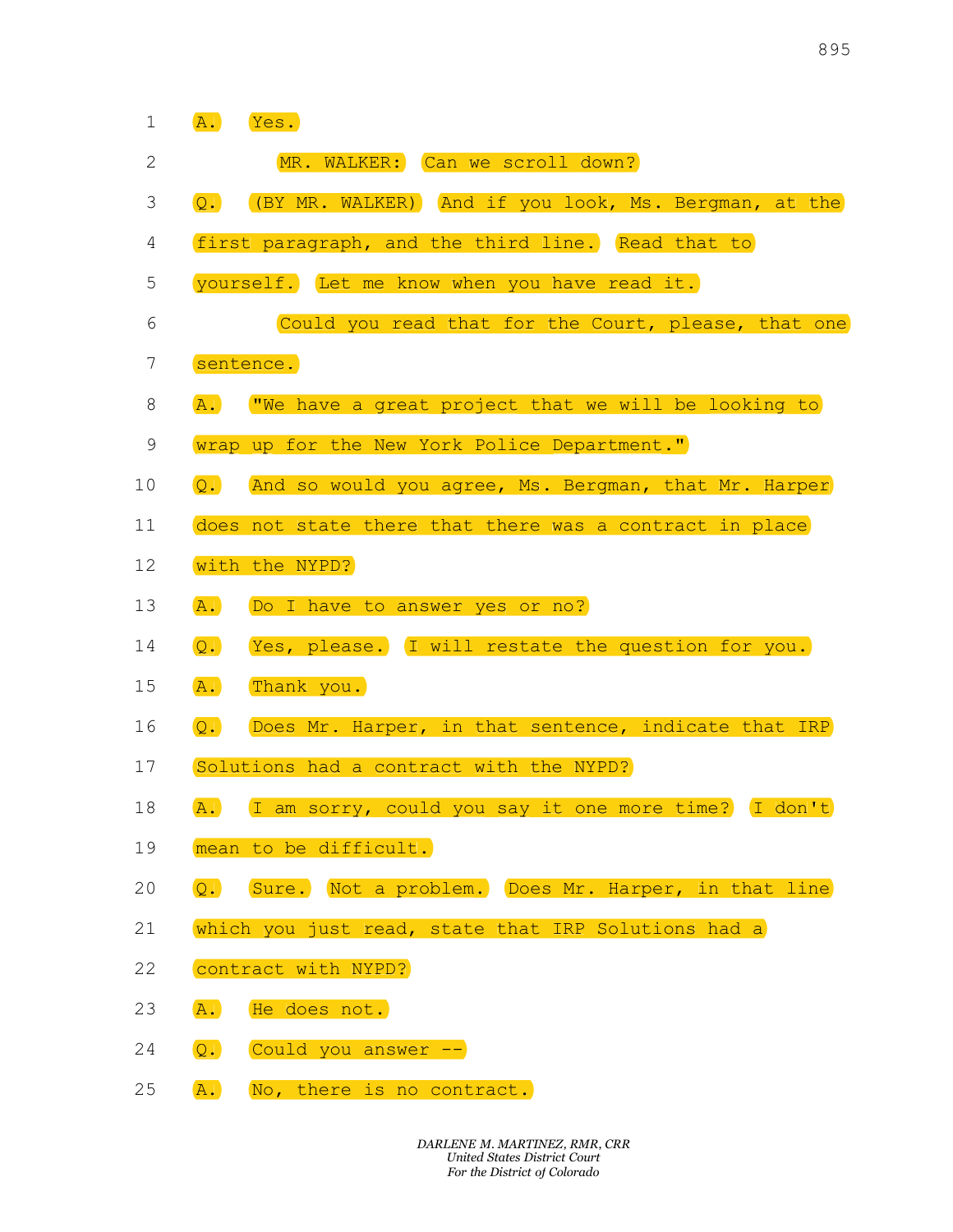|                   |                  |                                                                                                      | 895 |
|-------------------|------------------|------------------------------------------------------------------------------------------------------|-----|
|                   |                  |                                                                                                      |     |
| $\mathbf{1}$<br>2 | A.               | Yes.<br>MR. WALKER: Can we scroll down?                                                              |     |
| 3                 | $\overline{Q}$ . | (BY MR. WALKER) (And if you look, Ms. Bergman, at the                                                |     |
| $\overline{4}$    |                  | first paragraph, and the third line. Read that to                                                    |     |
| 5                 |                  | yourself. Let me know when you have read it.                                                         |     |
| 6                 |                  | Could you read that for the Court, please, that one                                                  |     |
| $7\overline{ }$   |                  | sentence.                                                                                            |     |
| 8                 | $\overline{A}$ . | "We have a great project that we will be looking to                                                  |     |
| 9                 |                  | wrap up for the New York Police Department."                                                         |     |
| 10                | $\overline{Q}$ . | And so would you agree, Ms. Bergman, that Mr. Harper                                                 |     |
| 11                |                  | does not state there that there was a contract in place                                              |     |
| 12                |                  | with the NYPD?                                                                                       |     |
| 13                | A.               | Do I have to answer yes or no?                                                                       |     |
| 14                | $\overline{Q}$ . | Yes, please. I will restate the question for you.                                                    |     |
| 15                | A.               | Thank you.                                                                                           |     |
| 16                | $Q$ .            | Does Mr. Harper, in that sentence, indicate that IRP                                                 |     |
| 17                |                  | Solutions had a contract with the NYPD?                                                              |     |
| 18                | A.               | I am sorry, could you say it one more time? I don't                                                  |     |
| 19                |                  | mean to be difficult.                                                                                |     |
| 20                | $\overline{Q}$ . | Sure. Not a problem. Does Mr. Harper, in that line                                                   |     |
| 21                |                  | which you just read, state that IRP Solutions had a                                                  |     |
| 22                |                  | contract with NYPD?                                                                                  |     |
| 23                | A.               | He does not.                                                                                         |     |
| 24                | $\overline{Q}$ . | Could you answer --                                                                                  |     |
| 25                | A.               | No, there is no contract.                                                                            |     |
|                   |                  | DARLENE M. MARTINEZ, RMR, CRR<br><b>United States District Court</b><br>For the District of Colorado |     |